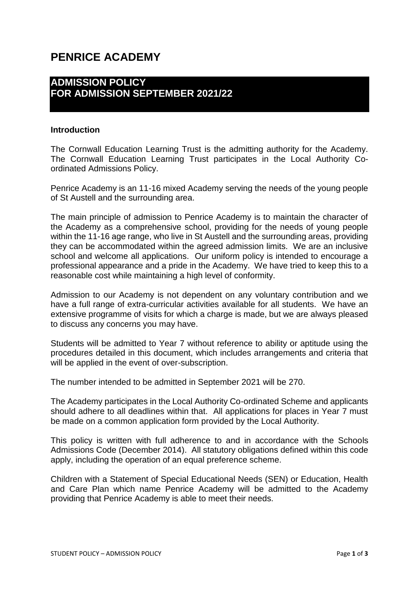# **PENRICE ACADEMY**

# **ADMISSION POLICY FOR ADMISSION SEPTEMBER 2021/22**

#### **Introduction**

The Cornwall Education Learning Trust is the admitting authority for the Academy. The Cornwall Education Learning Trust participates in the Local Authority Coordinated Admissions Policy.

Penrice Academy is an 11-16 mixed Academy serving the needs of the young people of St Austell and the surrounding area.

The main principle of admission to Penrice Academy is to maintain the character of the Academy as a comprehensive school, providing for the needs of young people within the 11-16 age range, who live in St Austell and the surrounding areas, providing they can be accommodated within the agreed admission limits. We are an inclusive school and welcome all applications. Our uniform policy is intended to encourage a professional appearance and a pride in the Academy. We have tried to keep this to a reasonable cost while maintaining a high level of conformity.

Admission to our Academy is not dependent on any voluntary contribution and we have a full range of extra-curricular activities available for all students. We have an extensive programme of visits for which a charge is made, but we are always pleased to discuss any concerns you may have.

Students will be admitted to Year 7 without reference to ability or aptitude using the procedures detailed in this document, which includes arrangements and criteria that will be applied in the event of over-subscription.

The number intended to be admitted in September 2021 will be 270.

The Academy participates in the Local Authority Co-ordinated Scheme and applicants should adhere to all deadlines within that. All applications for places in Year 7 must be made on a common application form provided by the Local Authority.

This policy is written with full adherence to and in accordance with the Schools Admissions Code (December 2014). All statutory obligations defined within this code apply, including the operation of an equal preference scheme.

Children with a Statement of Special Educational Needs (SEN) or Education, Health and Care Plan which name Penrice Academy will be admitted to the Academy providing that Penrice Academy is able to meet their needs.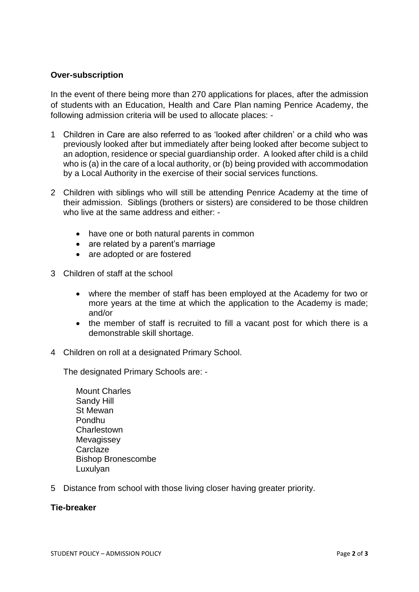### **Over-subscription**

In the event of there being more than 270 applications for places, after the admission of students with an Education, Health and Care Plan naming Penrice Academy, the following admission criteria will be used to allocate places: -

- 1 Children in Care are also referred to as 'looked after children' or a child who was previously looked after but immediately after being looked after become subject to an adoption, residence or special guardianship order. A looked after child is a child who is (a) in the care of a local authority, or (b) being provided with accommodation by a Local Authority in the exercise of their social services functions.
- 2 Children with siblings who will still be attending Penrice Academy at the time of their admission. Siblings (brothers or sisters) are considered to be those children who live at the same address and either: -
	- have one or both natural parents in common
	- are related by a parent's marriage
	- are adopted or are fostered
- 3 Children of staff at the school
	- where the member of staff has been employed at the Academy for two or more years at the time at which the application to the Academy is made; and/or
	- the member of staff is recruited to fill a vacant post for which there is a demonstrable skill shortage.
- 4 Children on roll at a designated Primary School.

The designated Primary Schools are: -

- Mount Charles Sandy Hill St Mewan Pondhu **Charlestown Mevagissey Carclaze** Bishop Bronescombe Luxulyan
- 5 Distance from school with those living closer having greater priority.

#### **Tie-breaker**